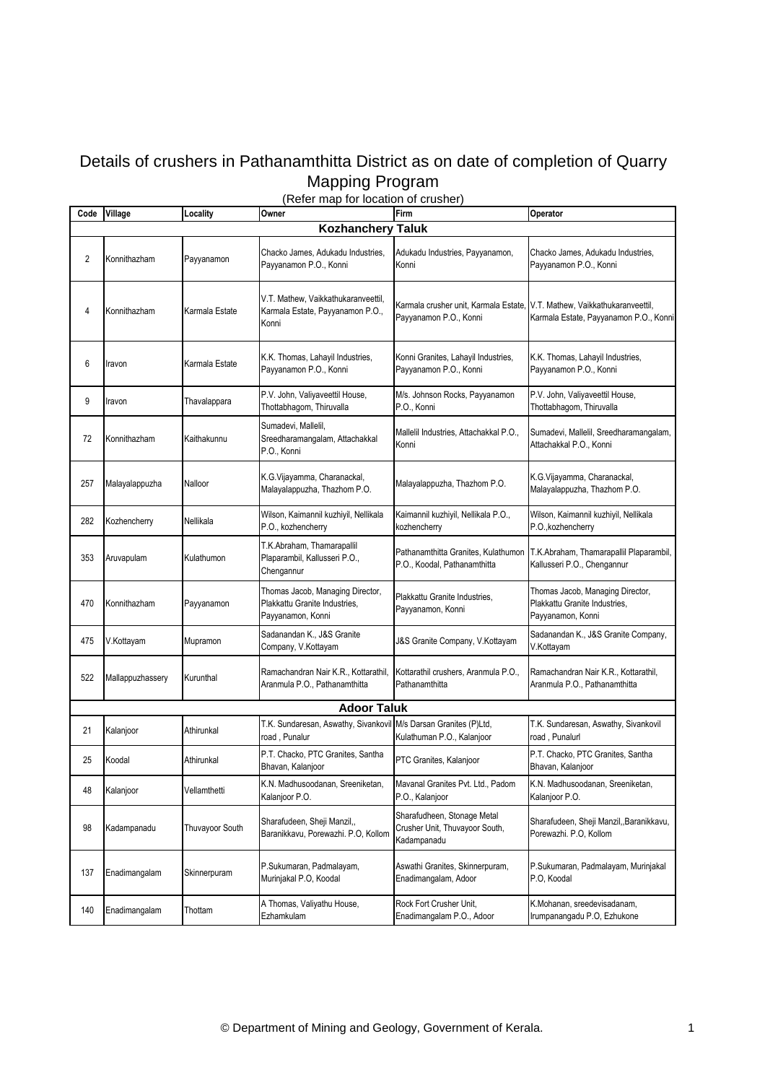## Details of crushers in Pathanamthitta District as on date of completion of Quarry Mapping Program (Refer map for location of crusher)

| Code           | Village                  | Locality        | Owner                                                                                  | Firm                                                                                                | Operator                                                                               |  |  |  |  |
|----------------|--------------------------|-----------------|----------------------------------------------------------------------------------------|-----------------------------------------------------------------------------------------------------|----------------------------------------------------------------------------------------|--|--|--|--|
|                | <b>Kozhanchery Taluk</b> |                 |                                                                                        |                                                                                                     |                                                                                        |  |  |  |  |
| $\overline{2}$ | Konnithazham             | Payyanamon      | Chacko James, Adukadu Industries.<br>Payyanamon P.O., Konni                            | Adukadu Industries, Payyanamon,<br>Konni                                                            | Chacko James, Adukadu Industries,<br>Payyanamon P.O., Konni                            |  |  |  |  |
| 4              | Konnithazham             | Karmala Estate  | V.T. Mathew, Vaikkathukaranveettil,<br>Karmala Estate, Payyanamon P.O.,<br>Konni       | Karmala crusher unit, Karmala Estate, V.T. Mathew, Vaikkathukaranveettil,<br>Payyanamon P.O., Konni | Karmala Estate, Payyanamon P.O., Konni                                                 |  |  |  |  |
| 6              | Iravon                   | Karmala Estate  | K.K. Thomas, Lahayil Industries,<br>Payyanamon P.O., Konni                             | Konni Granites, Lahayil Industries,<br>Payyanamon P.O., Konni                                       | K.K. Thomas, Lahayil Industries,<br>Payyanamon P.O., Konni                             |  |  |  |  |
| 9              | Iravon                   | Thavalappara    | P.V. John, Valiyaveettil House,<br>Thottabhagom, Thiruvalla                            | M/s. Johnson Rocks, Payyanamon<br>P.O., Konni                                                       | P.V. John, Valiyaveettil House,<br>Thottabhagom, Thiruvalla                            |  |  |  |  |
| 72             | Konnithazham             | Kaithakunnu     | Sumadevi, Mallelil,<br>Sreedharamangalam, Attachakkal<br>P.O., Konni                   | Mallelil Industries, Attachakkal P.O.,<br>Konni                                                     | Sumadevi, Mallelil, Sreedharamangalam,<br>Attachakkal P.O., Konni                      |  |  |  |  |
| 257            | Malayalappuzha           | Nalloor         | K.G.Vijayamma, Charanackal,<br>Malayalappuzha, Thazhom P.O.                            | Malayalappuzha, Thazhom P.O.                                                                        | K.G.Vijayamma, Charanackal,<br>Malayalappuzha, Thazhom P.O.                            |  |  |  |  |
| 282            | Kozhencherry             | Nellikala       | Wilson, Kaimannil kuzhiyil, Nellikala<br>P.O., kozhencherry                            | Kaimannil kuzhiyil, Nellikala P.O.,<br>kozhencherry                                                 | Wilson, Kaimannil kuzhiyil, Nellikala<br>P.O., kozhencherry                            |  |  |  |  |
| 353            | Aruvapulam               | Kulathumon      | T.K.Abraham, Thamarapallil<br>Plaparambil, Kallusseri P.O.,<br>Chengannur              | Pathanamthitta Granites, Kulathumon<br>P.O., Koodal, Pathanamthitta                                 | T.K.Abraham, Thamarapallil Plaparambil,<br>Kallusseri P.O., Chengannur                 |  |  |  |  |
| 470            | Konnithazham             | Payyanamon      | Thomas Jacob, Managing Director,<br>Plakkattu Granite Industries,<br>Payyanamon, Konni | Plakkattu Granite Industries,<br>Payyanamon, Konni                                                  | Thomas Jacob, Managing Director,<br>Plakkattu Granite Industries,<br>Payyanamon, Konni |  |  |  |  |
| 475            | V.Kottayam               | Mupramon        | Sadanandan K., J&S Granite<br>Company, V.Kottayam                                      | J&S Granite Company, V.Kottayam                                                                     | Sadanandan K., J&S Granite Company,<br>V.Kottayam                                      |  |  |  |  |
| 522            | Mallappuzhassery         | Kurunthal       | Ramachandran Nair K.R., Kottarathil,<br>Aranmula P.O., Pathanamthitta                  | Kottarathil crushers, Aranmula P.O.,<br>Pathanamthitta                                              | Ramachandran Nair K.R., Kottarathil,<br>Aranmula P.O., Pathanamthitta                  |  |  |  |  |
|                | <b>Adoor Taluk</b>       |                 |                                                                                        |                                                                                                     |                                                                                        |  |  |  |  |
| 21             | Kalanjoor                | Athirunkal      | T.K. Sundaresan, Aswathy, Sivankovil<br>road, Punalur                                  | M/s Darsan Granites (P)Ltd,<br>Kulathuman P.O., Kalanjoor                                           | T.K. Sundaresan, Aswathy, Sivankovil<br>road, Punalurl                                 |  |  |  |  |
| 25             | Koodal                   | Athirunkal      | P.T. Chacko, PTC Granites, Santha<br>Bhavan, Kalanjoor                                 | PTC Granites, Kalanjoor                                                                             | P.T. Chacko, PTC Granites, Santha<br>Bhavan, Kalanjoor                                 |  |  |  |  |
| 48             | Kalanjoor                | Vellamthetti    | K.N. Madhusoodanan, Sreeniketan,<br>Kalanjoor P.O.                                     | Mavanal Granites Pvt. Ltd., Padom<br>P.O., Kalanjoor                                                | K.N. Madhusoodanan, Sreeniketan,<br>Kalanjoor P.O.                                     |  |  |  |  |
| 98             | Kadampanadu              | Thuvayoor South | Sharafudeen, Sheji Manzil,,<br>Baranikkavu, Porewazhi. P.O, Kollom                     | Sharafudheen, Stonage Metal<br>Crusher Unit, Thuvayoor South,<br>Kadampanadu                        | Sharafudeen, Sheji Manzil, Baranikkavu,<br>Porewazhi. P.O, Kollom                      |  |  |  |  |
| 137            | Enadimangalam            | Skinnerpuram    | P.Sukumaran, Padmalayam,<br>Murinjakal P.O, Koodal                                     | Aswathi Granites, Skinnerpuram,<br>Enadimangalam, Adoor                                             | P.Sukumaran, Padmalayam, Murinjakal<br>P.O, Koodal                                     |  |  |  |  |
| 140            | Enadimangalam            | Thottam         | A Thomas, Valiyathu House,<br>Ezhamkulam                                               | Rock Fort Crusher Unit,<br>Enadimangalam P.O., Adoor                                                | K.Mohanan, sreedevisadanam,<br>Irumpanangadu P.O, Ezhukone                             |  |  |  |  |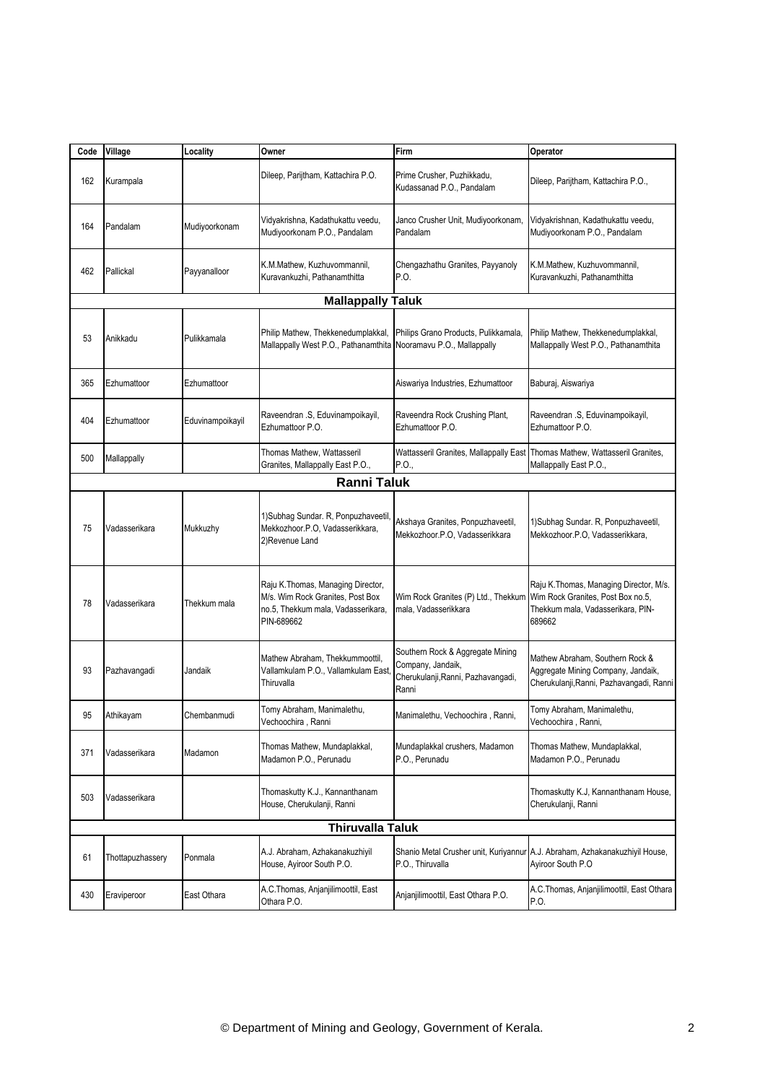| Code                    | Village                  | Locality         | Owner                                                                                                                      | Firm                                                                                                 | Operator                                                                                                                    |  |  |  |
|-------------------------|--------------------------|------------------|----------------------------------------------------------------------------------------------------------------------------|------------------------------------------------------------------------------------------------------|-----------------------------------------------------------------------------------------------------------------------------|--|--|--|
| 162                     | Kurampala                |                  | Dileep, Parijtham, Kattachira P.O.                                                                                         | Prime Crusher, Puzhikkadu,<br>Kudassanad P.O., Pandalam                                              | Dileep, Parijtham, Kattachira P.O.,                                                                                         |  |  |  |
| 164                     | Pandalam                 | Mudiyoorkonam    | Vidyakrishna, Kadathukattu veedu,<br>Mudiyoorkonam P.O., Pandalam                                                          | Janco Crusher Unit, Mudiyoorkonam,<br>Pandalam                                                       | Vidyakrishnan, Kadathukattu veedu,<br>Mudiyoorkonam P.O., Pandalam                                                          |  |  |  |
| 462                     | Pallickal                | Payyanalloor     | K.M.Mathew, Kuzhuvommannil,<br>Kuravankuzhi, Pathanamthitta                                                                | Chengazhathu Granites, Payyanoly<br>P.O.                                                             | K.M.Mathew, Kuzhuvommannil,<br>Kuravankuzhi, Pathanamthitta                                                                 |  |  |  |
|                         | <b>Mallappally Taluk</b> |                  |                                                                                                                            |                                                                                                      |                                                                                                                             |  |  |  |
| 53                      | Anikkadu                 | Pulikkamala      | Philip Mathew, Thekkenedumplakkal,<br>Mallappally West P.O., Pathanamthita Nooramavu P.O., Mallappally                     | Philips Grano Products, Pulikkamala,                                                                 | Philip Mathew, Thekkenedumplakkal,<br>Mallappally West P.O., Pathanamthita                                                  |  |  |  |
| 365                     | Ezhumattoor              | Ezhumattoor      |                                                                                                                            | Aiswariya Industries, Ezhumattoor                                                                    | Baburaj, Aiswariya                                                                                                          |  |  |  |
| 404                     | Ezhumattoor              | Eduvinampoikayil | Raveendran .S, Eduvinampoikayil,<br>Ezhumattoor P.O.                                                                       | Raveendra Rock Crushing Plant,<br>Ezhumattoor P.O.                                                   | Raveendran .S, Eduvinampoikayil,<br>Ezhumattoor P.O.                                                                        |  |  |  |
| 500                     | Mallappally              |                  | Thomas Mathew, Wattasseril<br>Granites, Mallappally East P.O.,                                                             | Wattasseril Granites, Mallappally East<br>P.O.,                                                      | Thomas Mathew, Wattasseril Granites,<br>Mallappally East P.O.,                                                              |  |  |  |
|                         |                          |                  | <b>Ranni Taluk</b>                                                                                                         |                                                                                                      |                                                                                                                             |  |  |  |
| 75                      | Vadasserikara            | Mukkuzhy         | 1)Subhag Sundar. R, Ponpuzhaveetil,<br>Mekkozhoor.P.O, Vadasserikkara,<br>2)Revenue Land                                   | Akshaya Granites, Ponpuzhaveetil,<br>Mekkozhoor.P.O, Vadasserikkara                                  | 1) Subhag Sundar. R, Ponpuzhaveetil,<br>Mekkozhoor.P.O, Vadasserikkara,                                                     |  |  |  |
| 78                      | Vadasserikara            | Thekkum mala     | Raju K. Thomas, Managing Director,<br>M/s. Wim Rock Granites, Post Box<br>no.5, Thekkum mala, Vadasserikara,<br>PIN-689662 | Wim Rock Granites (P) Ltd., Thekkum<br>mala, Vadasserikkara                                          | Raju K. Thomas, Managing Director, M/s.<br>Wim Rock Granites, Post Box no.5,<br>Thekkum mala, Vadasserikara, PIN-<br>689662 |  |  |  |
| 93                      | Pazhavangadi             | Jandaik          | Mathew Abraham, Thekkummoottil,<br>Vallamkulam P.O., Vallamkulam East,<br>Thiruvalla                                       | Southern Rock & Aggregate Mining<br>Company, Jandaik,<br>Cherukulanji, Ranni, Pazhavangadi,<br>Ranni | Mathew Abraham, Southern Rock &<br>Aggregate Mining Company, Jandaik,<br>Cherukulanji, Ranni, Pazhavangadi, Ranni           |  |  |  |
| 95                      | Athikayam                | Chembanmudi      | Tomy Abraham, Manimalethu,<br>Vechoochira , Ranni                                                                          | Manimalethu, Vechoochira, Ranni,                                                                     | Tomy Abraham, Manimalethu,<br>Vechoochira, Ranni,                                                                           |  |  |  |
| 371                     | Vadasserikara            | Madamon          | Thomas Mathew, Mundaplakkal,<br>Madamon P.O., Perunadu                                                                     | Mundaplakkal crushers, Madamon<br>P.O., Perunadu                                                     | Thomas Mathew, Mundaplakkal,<br>Madamon P.O., Perunadu                                                                      |  |  |  |
| 503                     | Vadasserikara            |                  | Thomaskutty K.J., Kannanthanam<br>House, Cherukulanji, Ranni                                                               |                                                                                                      | Thomaskutty K.J, Kannanthanam House,<br>Cherukulanji, Ranni                                                                 |  |  |  |
| <b>Thiruvalla Taluk</b> |                          |                  |                                                                                                                            |                                                                                                      |                                                                                                                             |  |  |  |
| 61                      | Thottapuzhassery         | Ponmala          | A.J. Abraham, Azhakanakuzhiyil<br>House, Ayiroor South P.O.                                                                | P.O., Thiruvalla                                                                                     | Shanio Metal Crusher unit, Kuriyannur A.J. Abraham, Azhakanakuzhiyil House,<br>Ayiroor South P.O                            |  |  |  |
| 430                     | Eraviperoor              | East Othara      | A.C.Thomas, Anjanjilimoottil, East<br>Othara P.O.                                                                          | Anjanjilimoottil, East Othara P.O.                                                                   | A.C. Thomas, Anjanjilimoottil, East Othara<br>P.O.                                                                          |  |  |  |